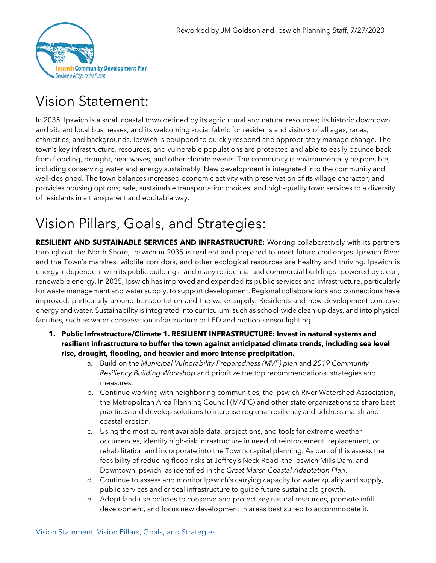

## Vision Statement:

In 2035, Ipswich is a small coastal town defined by its agricultural and natural resources; its historic downtown and vibrant local businesses; and its welcoming social fabric for residents and visitors of all ages, races, ethnicities, and backgrounds. Ipswich is equipped to quickly respond and appropriately manage change. The town's key infrastructure, resources, and vulnerable populations are protected and able to easily bounce back from flooding, drought, heat waves, and other climate events. The community is environmentally responsible, including conserving water and energy sustainably. New development is integrated into the community and well-designed. The town balances increased economic activity with preservation of its village character; and provides housing options; safe, sustainable transportation choices; and high-quality town services to a diversity of residents in a transparent and equitable way.

# Vision Pillars, Goals, and Strategies:

**RESILIENT AND SUSTAINABLE SERVICES AND INFRASTRUCTURE:** Working collaboratively with its partners throughout the North Shore, Ipswich in 2035 is resilient and prepared to meet future challenges. Ipswich River and the Town's marshes, wildlife corridors, and other ecological resources are healthy and thriving. Ipswich is energy independent with its public buildings—and many residential and commercial buildings—powered by clean, renewable energy. In 2035, Ipswich has improved and expanded its public services and infrastructure, particularly for waste management and water supply, to support development. Regional collaborations and connections have improved, particularly around transportation and the water supply. Residents and new development conserve energy and water. Sustainability is integrated into curriculum, such as school-wide clean-up days, and into physical facilities, such as water conservation infrastructure or LED and motion-sensor lighting.

- **1. Public Infrastructure/Climate 1. RESILIENT INFRASTRUCTURE: Invest in natural systems and resilient infrastructure to buffer the town against anticipated climate trends, including sea level rise, drought, flooding, and heavier and more intense precipitation.**
	- a. Build on the *Municipal Vulnerability Preparedness (MVP) plan* and *2019 Community Resiliency Building Workshop* and prioritize the top recommendations, strategies and measures.
	- b. Continue working with neighboring communities, the Ipswich River Watershed Association, the Metropolitan Area Planning Council (MAPC) and other state organizations to share best practices and develop solutions to increase regional resiliency and address marsh and coastal erosion.
	- c. Using the most current available data, projections, and tools for extreme weather occurrences, identify high-risk infrastructure in need of reinforcement, replacement, or rehabilitation and incorporate into the Town's capital planning. As part of this assess the feasibility of reducing flood risks at Jeffrey's Neck Road, the Ipswich Mills Dam, and Downtown Ipswich, as identified in the *Great Marsh Coastal Adaptation Plan*.
	- d. Continue to assess and monitor Ipswich's carrying capacity for water quality and supply, public services and critical infrastructure to guide future sustainable growth.
	- e. Adopt land-use policies to conserve and protect key natural resources, promote infill development, and focus new development in areas best suited to accommodate it.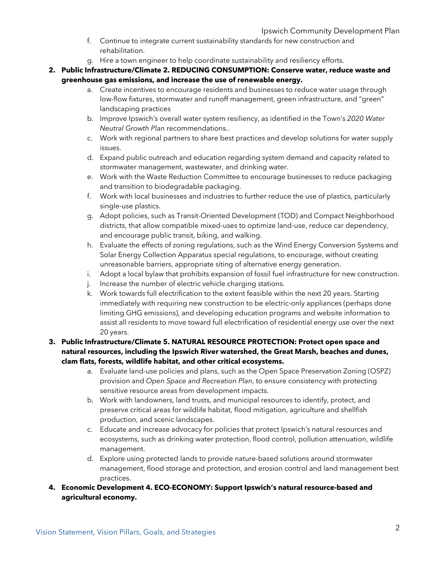- f. Continue to integrate current sustainability standards for new construction and rehabilitation.
- g. Hire a town engineer to help coordinate sustainability and resiliency efforts.
- **2. Public Infrastructure/Climate 2. REDUCING CONSUMPTION: Conserve water, reduce waste and greenhouse gas emissions, and increase the use of renewable energy.** 
	- a. Create incentives to encourage residents and businesses to reduce water usage through low-flow fixtures, stormwater and runoff management, green infrastructure, and "green" landscaping practices
	- b. Improve Ipswich's overall water system resiliency, as identified in the Town's *2020 Water Neutral Growth Plan* recommendations*.*.
	- c. Work with regional partners to share best practices and develop solutions for water supply issues.
	- d. Expand public outreach and education regarding system demand and capacity related to stormwater management, wastewater, and drinking water.
	- e. Work with the Waste Reduction Committee to encourage businesses to reduce packaging and transition to biodegradable packaging.
	- f. Work with local businesses and industries to further reduce the use of plastics, particularly single-use plastics.
	- g. Adopt policies, such as Transit-Oriented Development (TOD) and Compact Neighborhood districts, that allow compatible mixed-uses to optimize land-use, reduce car dependency, and encourage public transit, biking, and walking.
	- h. Evaluate the effects of zoning regulations, such as the Wind Energy Conversion Systems and Solar Energy Collection Apparatus special regulations, to encourage, without creating unreasonable barriers, appropriate siting of alternative energy generation.
	- i. Adopt a local bylaw that prohibits expansion of fossil fuel infrastructure for new construction.
	- j. Increase the number of electric vehicle charging stations.
	- k. Work towards full electrification to the extent feasible within the next 20 years. Starting immediately with requiring new construction to be electric-only appliances (perhaps done limiting GHG emissions), and developing education programs and website information to assist all residents to move toward full electrification of residential energy use over the next 20 years.

#### **3. Public Infrastructure/Climate 5. NATURAL RESOURCE PROTECTION: Protect open space and natural resources, including the Ipswich River watershed, the Great Marsh, beaches and dunes, clam flats, forests, wildlife habitat, and other critical ecosystems.**

- a. Evaluate land-use policies and plans, such as the Open Space Preservation Zoning (OSPZ) provision and *Open Space and Recreation Plan*, to ensure consistency with protecting sensitive resource areas from development impacts.
- b. Work with landowners, land trusts, and municipal resources to identify, protect, and preserve critical areas for wildlife habitat, flood mitigation, agriculture and shellfish production, and scenic landscapes.
- c. Educate and increase advocacy for policies that protect Ipswich's natural resources and ecosystems, such as drinking water protection, flood control, pollution attenuation, wildlife management.
- d. Explore using protected lands to provide nature-based solutions around stormwater management, flood storage and protection, and erosion control and land management best practices.
- **4. Economic Development 4. ECO-ECONOMY: Support Ipswich's natural resource-based and agricultural economy.**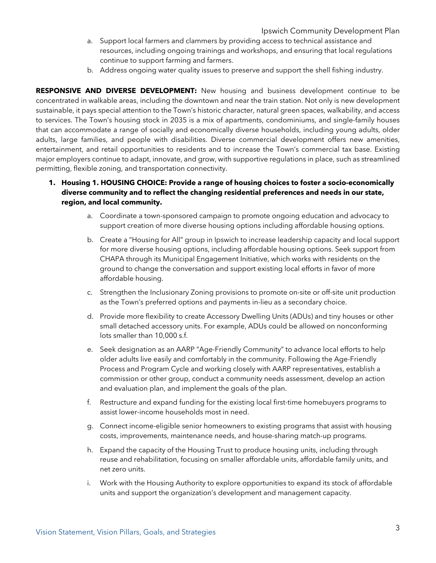- a. Support local farmers and clammers by providing access to technical assistance and resources, including ongoing trainings and workshops, and ensuring that local regulations continue to support farming and farmers.
- b. Address ongoing water quality issues to preserve and support the shell fishing industry.

**RESPONSIVE AND DIVERSE DEVELOPMENT:** New housing and business development continue to be concentrated in walkable areas, including the downtown and near the train station. Not only is new development sustainable, it pays special attention to the Town's historic character, natural green spaces, walkability, and access to services. The Town's housing stock in 2035 is a mix of apartments, condominiums, and single-family houses that can accommodate a range of socially and economically diverse households, including young adults, older adults, large families, and people with disabilities. Diverse commercial development offers new amenities, entertainment, and retail opportunities to residents and to increase the Town's commercial tax base. Existing major employers continue to adapt, innovate, and grow, with supportive regulations in place, such as streamlined permitting, flexible zoning, and transportation connectivity.

- **1. Housing 1. HOUSING CHOICE: Provide a range of housing choices to foster a socio-economically diverse community and to reflect the changing residential preferences and needs in our state, region, and local community.**
	- a. Coordinate a town-sponsored campaign to promote ongoing education and advocacy to support creation of more diverse housing options including affordable housing options.
	- b. Create a "Housing for All" group in Ipswich to increase leadership capacity and local support for more diverse housing options, including affordable housing options. Seek support from CHAPA through its Municipal Engagement Initiative, which works with residents on the ground to change the conversation and support existing local efforts in favor of more affordable housing.
	- c. Strengthen the Inclusionary Zoning provisions to promote on-site or off-site unit production as the Town's preferred options and payments in-lieu as a secondary choice.
	- d. Provide more flexibility to create Accessory Dwelling Units (ADUs) and tiny houses or other small detached accessory units. For example, ADUs could be allowed on nonconforming lots smaller than 10,000 s.f.
	- e. Seek designation as an AARP "Age-Friendly Community" to advance local efforts to help older adults live easily and comfortably in the community. Following the Age-Friendly Process and Program Cycle and working closely with AARP representatives, establish a commission or other group, conduct a community needs assessment, develop an action and evaluation plan, and implement the goals of the plan.
	- f. Restructure and expand funding for the existing local first-time homebuyers programs to assist lower-income households most in need.
	- g. Connect income-eligible senior homeowners to existing programs that assist with housing costs, improvements, maintenance needs, and house-sharing match-up programs.
	- h. Expand the capacity of the Housing Trust to produce housing units, including through reuse and rehabilitation, focusing on smaller affordable units, affordable family units, and net zero units.
	- i. Work with the Housing Authority to explore opportunities to expand its stock of affordable units and support the organization's development and management capacity.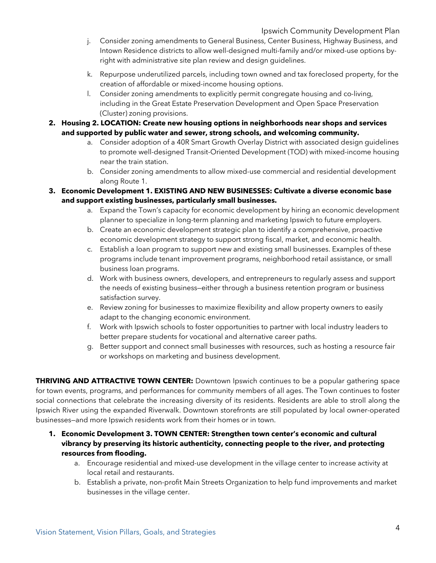- j. Consider zoning amendments to General Business, Center Business, Highway Business, and Intown Residence districts to allow well-designed multi-family and/or mixed-use options byright with administrative site plan review and design guidelines.
- k. Repurpose underutilized parcels, including town owned and tax foreclosed property, for the creation of affordable or mixed-income housing options.
- l. Consider zoning amendments to explicitly permit congregate housing and co-living, including in the Great Estate Preservation Development and Open Space Preservation (Cluster) zoning provisions.
- **2. Housing 2. LOCATION: Create new housing options in neighborhoods near shops and services and supported by public water and sewer, strong schools, and welcoming community.** 
	- a. Consider adoption of a 40R Smart Growth Overlay District with associated design guidelines to promote well-designed Transit-Oriented Development (TOD) with mixed-income housing near the train station.
	- b. Consider zoning amendments to allow mixed-use commercial and residential development along Route 1.
- **3. Economic Development 1. EXISTING AND NEW BUSINESSES: Cultivate a diverse economic base and support existing businesses, particularly small businesses.**
	- a. Expand the Town's capacity for economic development by hiring an economic development planner to specialize in long-term planning and marketing Ipswich to future employers.
	- b. Create an economic development strategic plan to identify a comprehensive, proactive economic development strategy to support strong fiscal, market, and economic health.
	- c. Establish a loan program to support new and existing small businesses. Examples of these programs include tenant improvement programs, neighborhood retail assistance, or small business loan programs.
	- d. Work with business owners, developers, and entrepreneurs to regularly assess and support the needs of existing business—either through a business retention program or business satisfaction survey.
	- e. Review zoning for businesses to maximize flexibility and allow property owners to easily adapt to the changing economic environment.
	- f. Work with Ipswich schools to foster opportunities to partner with local industry leaders to better prepare students for vocational and alternative career paths.
	- g. Better support and connect small businesses with resources, such as hosting a resource fair or workshops on marketing and business development.

**THRIVING AND ATTRACTIVE TOWN CENTER:** Downtown Ipswich continues to be a popular gathering space for town events, programs, and performances for community members of all ages. The Town continues to foster social connections that celebrate the increasing diversity of its residents. Residents are able to stroll along the Ipswich River using the expanded Riverwalk. Downtown storefronts are still populated by local owner-operated businesses—and more Ipswich residents work from their homes or in town.

- **1. Economic Development 3. TOWN CENTER: Strengthen town center's economic and cultural vibrancy by preserving its historic authenticity, connecting people to the river, and protecting resources from flooding.**
	- a. Encourage residential and mixed-use development in the village center to increase activity at local retail and restaurants.
	- b. Establish a private, non-profit Main Streets Organization to help fund improvements and market businesses in the village center.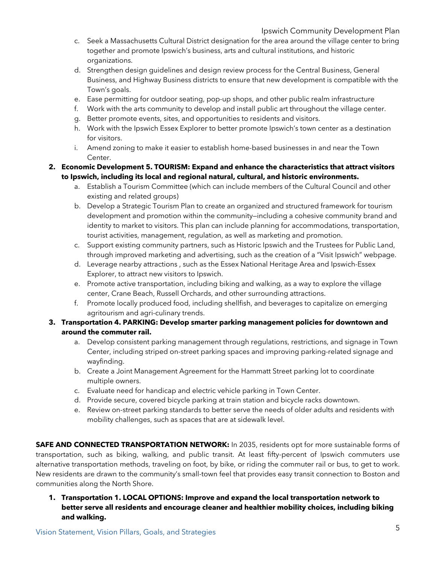- c. Seek a Massachusetts Cultural District designation for the area around the village center to bring together and promote Ipswich's business, arts and cultural institutions, and historic organizations.
- d. Strengthen design guidelines and design review process for the Central Business, General Business, and Highway Business districts to ensure that new development is compatible with the Town's goals.
- e. Ease permitting for outdoor seating, pop-up shops, and other public realm infrastructure
- f. Work with the arts community to develop and install public art throughout the village center.
- g. Better promote events, sites, and opportunities to residents and visitors.
- h. Work with the Ipswich Essex Explorer to better promote Ipswich's town center as a destination for visitors.
- i. Amend zoning to make it easier to establish home-based businesses in and near the Town Center.

#### **2. Economic Development 5. TOURISM: Expand and enhance the characteristics that attract visitors to Ipswich, including its local and regional natural, cultural, and historic environments.**

- a. Establish a Tourism Committee (which can include members of the Cultural Council and other existing and related groups)
- b. Develop a Strategic Tourism Plan to create an organized and structured framework for tourism development and promotion within the community—including a cohesive community brand and identity to market to visitors. This plan can include planning for accommodations, transportation, tourist activities, management, regulation, as well as marketing and promotion.
- c. Support existing community partners, such as Historic Ipswich and the Trustees for Public Land, through improved marketing and advertising, such as the creation of a "Visit Ipswich" webpage.
- d. Leverage nearby attractions , such as the Essex National Heritage Area and Ipswich-Essex Explorer, to attract new visitors to Ipswich.
- e. Promote active transportation, including biking and walking, as a way to explore the village center, Crane Beach, Russell Orchards, and other surrounding attractions.
- f. Promote locally produced food, including shellfish, and beverages to capitalize on emerging agritourism and agri-culinary trends.

#### **3. Transportation 4. PARKING: Develop smarter parking management policies for downtown and around the commuter rail.**

- a. Develop consistent parking management through regulations, restrictions, and signage in Town Center, including striped on-street parking spaces and improving parking-related signage and wayfinding.
- b. Create a Joint Management Agreement for the Hammatt Street parking lot to coordinate multiple owners.
- c. Evaluate need for handicap and electric vehicle parking in Town Center.
- d. Provide secure, covered bicycle parking at train station and bicycle racks downtown.
- e. Review on-street parking standards to better serve the needs of older adults and residents with mobility challenges, such as spaces that are at sidewalk level.

**SAFE AND CONNECTED TRANSPORTATION NETWORK:** In 2035, residents opt for more sustainable forms of transportation, such as biking, walking, and public transit. At least fifty-percent of Ipswich commuters use alternative transportation methods, traveling on foot, by bike, or riding the commuter rail or bus, to get to work. New residents are drawn to the community's small-town feel that provides easy transit connection to Boston and communities along the North Shore.

**1. Transportation 1. LOCAL OPTIONS: Improve and expand the local transportation network to better serve all residents and encourage cleaner and healthier mobility choices, including biking and walking.**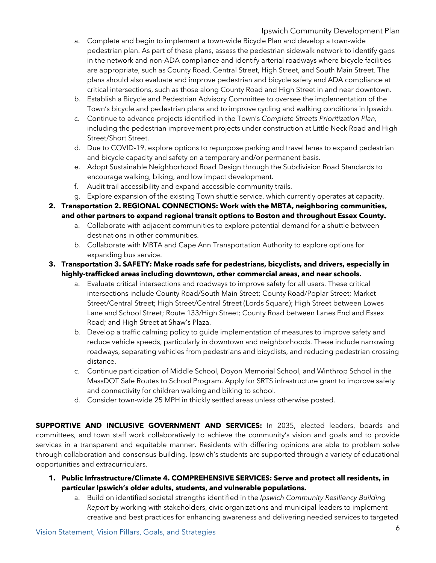- a. Complete and begin to implement a town-wide Bicycle Plan and develop a town-wide pedestrian plan. As part of these plans, assess the pedestrian sidewalk network to identify gaps in the network and non-ADA compliance and identify arterial roadways where bicycle facilities are appropriate, such as County Road, Central Street, High Street, and South Main Street. The plans should also evaluate and improve pedestrian and bicycle safety and ADA compliance at critical intersections, such as those along County Road and High Street in and near downtown.
- b. Establish a Bicycle and Pedestrian Advisory Committee to oversee the implementation of the Town's bicycle and pedestrian plans and to improve cycling and walking conditions in Ipswich.
- c. Continue to advance projects identified in the Town's *Complete Streets Prioritization Plan,* including the pedestrian improvement projects under construction at Little Neck Road and High Street/Short Street.
- d. Due to COVID-19, explore options to repurpose parking and travel lanes to expand pedestrian and bicycle capacity and safety on a temporary and/or permanent basis.
- e. Adopt Sustainable Neighborhood Road Design through the Subdivision Road Standards to encourage walking, biking, and low impact development.
- f. Audit trail accessibility and expand accessible community trails.
- g. Explore expansion of the existing Town shuttle service, which currently operates at capacity.
- **2. Transportation 2. REGIONAL CONNECTIONS: Work with the MBTA, neighboring communities, and other partners to expand regional transit options to Boston and throughout Essex County.**
	- a. Collaborate with adjacent communities to explore potential demand for a shuttle between destinations in other communities.
	- b. Collaborate with MBTA and Cape Ann Transportation Authority to explore options for expanding bus service.
- **3. Transportation 3. SAFETY: Make roads safe for pedestrians, bicyclists, and drivers, especially in highly-trafficked areas including downtown, other commercial areas, and near schools.** 
	- a. Evaluate critical intersections and roadways to improve safety for all users. These critical intersections include County Road/South Main Street; County Road/Poplar Street; Market Street/Central Street; High Street/Central Street (Lords Square); High Street between Lowes Lane and School Street; Route 133/High Street; County Road between Lanes End and Essex Road; and High Street at Shaw's Plaza.
	- b. Develop a traffic calming policy to guide implementation of measures to improve safety and reduce vehicle speeds, particularly in downtown and neighborhoods. These include narrowing roadways, separating vehicles from pedestrians and bicyclists, and reducing pedestrian crossing distance.
	- c. Continue participation of Middle School, Doyon Memorial School, and Winthrop School in the MassDOT Safe Routes to School Program. Apply for SRTS infrastructure grant to improve safety and connectivity for children walking and biking to school.
	- d. Consider town-wide 25 MPH in thickly settled areas unless otherwise posted.

**SUPPORTIVE AND INCLUSIVE GOVERNMENT AND SERVICES:** In 2035, elected leaders, boards and committees, and town staff work collaboratively to achieve the community's vision and goals and to provide services in a transparent and equitable manner. Residents with differing opinions are able to problem solve through collaboration and consensus-building. Ipswich's students are supported through a variety of educational opportunities and extracurriculars.

- **1. Public Infrastructure/Climate 4. COMPREHENSIVE SERVICES: Serve and protect all residents, in particular Ipswich's older adults, students, and vulnerable populations.** 
	- a. Build on identified societal strengths identified in the *Ipswich Community Resiliency Building Report* by working with stakeholders, civic organizations and municipal leaders to implement creative and best practices for enhancing awareness and delivering needed services to targeted